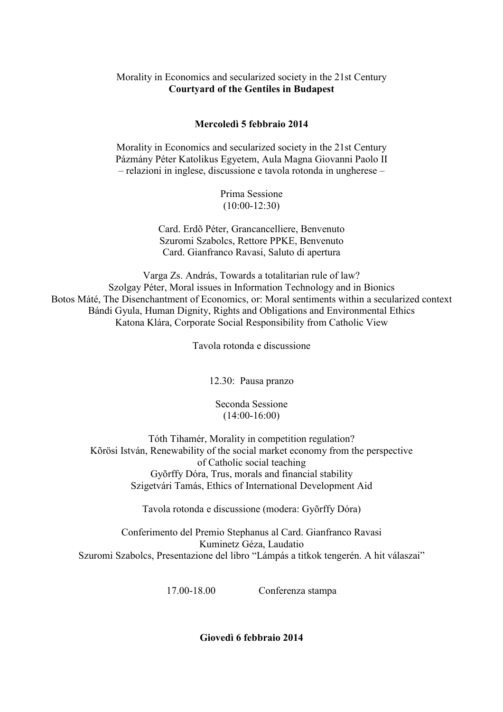## Morality in Economics and secularized society in the 21st Century **Courtyard of the Gentiles in Budapest**

## **Mercoledì 5 febbraio 2014**

Morality in Economics and secularized society in the 21st Century Pázmány Péter Katolikus Egyetem, Aula Magna Giovanni Paolo II – relazioni in inglese, discussione e tavola rotonda in ungherese –

> Prima Sessione (10:00-12:30)

Card. Erdõ Péter, Grancancelliere, Benvenuto Szuromi Szabolcs, Rettore PPKE, Benvenuto Card. Gianfranco Ravasi, Saluto di apertura

Varga Zs. András, Towards a totalitarian rule of law? Szolgay Péter, Moral issues in Information Technology and in Bionics Botos Máté, The Disenchantment of Economics, or: Moral sentiments within a secularized context Bándi Gyula, Human Dignity, Rights and Obligations and Environmental Ethics Katona Klára, Corporate Social Responsibility from Catholic View

Tavola rotonda e discussione

12.30: Pausa pranzo

Seconda Sessione (14:00-16:00)

Tóth Tihamér, Morality in competition regulation? Kõrösi István, Renewability of the social market economy from the perspective of Catholic social teaching Gyõrffy Dóra, Trus, morals and financial stability Szigetvári Tamás, Ethics of International Development Aid

Tavola rotonda e discussione (modera: Gyõrffy Dóra)

Conferimento del Premio Stephanus al Card. Gianfranco Ravasi Kuminetz Géza, Laudatio Szuromi Szabolcs, Presentazione del libro "Lámpás a titkok tengerén. A hit válaszai"

17.00-18.00 Conferenza stampa

**Giovedì 6 febbraio 2014**